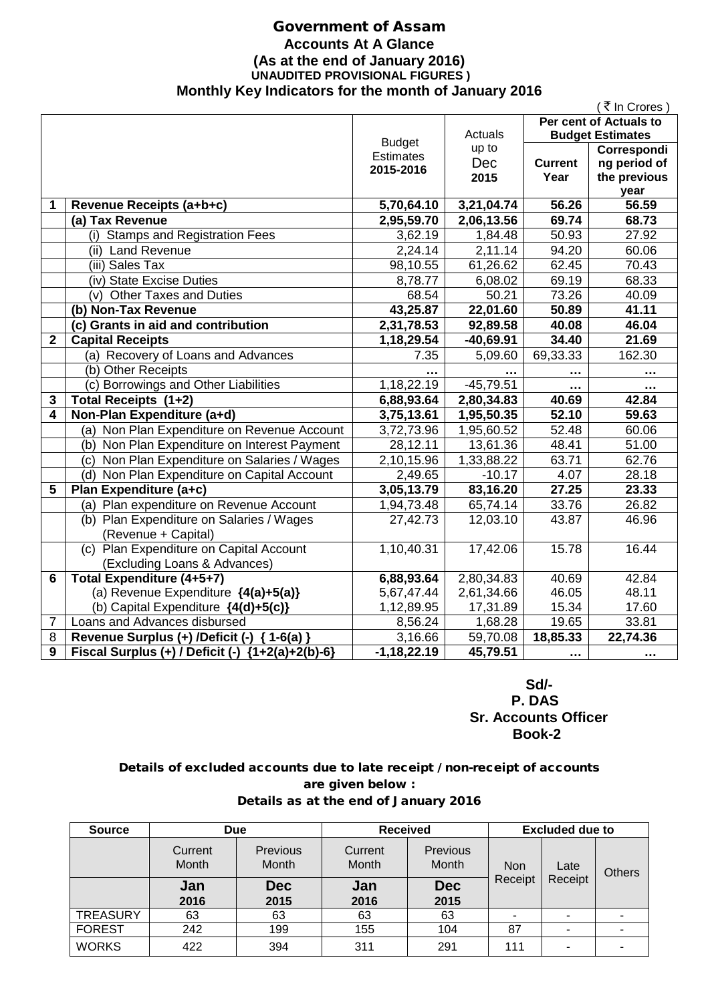## Government of Assam **Accounts At A Glance (As at the end of January 2016) UNAUDITED PROVISIONAL FIGURES ) Monthly Key Indicators for the month of January 2016**

|              |                                                  |                  |             |                    | ( ₹ In Crores )         |
|--------------|--------------------------------------------------|------------------|-------------|--------------------|-------------------------|
|              |                                                  |                  |             |                    | Per cent of Actuals to  |
|              |                                                  | <b>Budget</b>    | Actuals     |                    | <b>Budget Estimates</b> |
|              |                                                  | <b>Estimates</b> | up to       |                    | Correspondi             |
|              |                                                  | 2015-2016        | Dec         | <b>Current</b>     | ng period of            |
|              |                                                  |                  | 2015        | Year               | the previous            |
|              |                                                  |                  |             |                    | year                    |
| 1            | Revenue Receipts (a+b+c)                         | 5,70,64.10       | 3,21,04.74  | $\overline{56.26}$ | 56.59                   |
|              | (a) Tax Revenue                                  | 2,95,59.70       | 2,06,13.56  | 69.74              | 68.73                   |
|              | (i) Stamps and Registration Fees                 | 3,62.19          | 1,84.48     | 50.93              | 27.92                   |
|              | (ii) Land Revenue                                | 2,24.14          | 2,11.14     | 94.20              | 60.06                   |
|              | $\overline{{\sf (iii)}}$ Sales Tax               | 98,10.55         | 61,26.62    | 62.45              | 70.43                   |
|              | (iv) State Excise Duties                         | 8,78.77          | 6,08.02     | 69.19              | 68.33                   |
|              | (v) Other Taxes and Duties                       | 68.54            | 50.21       | 73.26              | 40.09                   |
|              | (b) Non-Tax Revenue                              | 43,25.87         | 22,01.60    | 50.89              | 41.11                   |
|              | (c) Grants in aid and contribution               | 2,31,78.53       | 92,89.58    | 40.08              | 46.04                   |
| $\mathbf{2}$ | <b>Capital Receipts</b>                          | 1,18,29.54       | $-40,69.91$ | 34.40              | 21.69                   |
|              | (a) Recovery of Loans and Advances               | 7.35             | 5,09.60     | 69,33.33           | 162.30                  |
|              | (b) Other Receipts                               |                  |             | $\ddotsc$          |                         |
|              | (c) Borrowings and Other Liabilities             | 1,18,22.19       | $-45,79.51$ |                    |                         |
| 3            | Total Receipts (1+2)                             | 6,88,93.64       | 2,80,34.83  | 40.69              | 42.84                   |
| 4            | Non-Plan Expenditure (a+d)                       | 3,75,13.61       | 1,95,50.35  | 52.10              | 59.63                   |
|              | (a) Non Plan Expenditure on Revenue Account      | 3,72,73.96       | 1,95,60.52  | 52.48              | 60.06                   |
|              | (b) Non Plan Expenditure on Interest Payment     | 28,12.11         | 13,61.36    | 48.41              | 51.00                   |
|              | (c) Non Plan Expenditure on Salaries / Wages     | 2,10,15.96       | 1,33,88.22  | 63.71              | 62.76                   |
|              | (d) Non Plan Expenditure on Capital Account      | 2,49.65          | $-10.17$    | 4.07               | 28.18                   |
| 5            | Plan Expenditure (a+c)                           | 3,05,13.79       | 83,16.20    | 27.25              | 23.33                   |
|              | (a) Plan expenditure on Revenue Account          | 1,94,73.48       | 65,74.14    | 33.76              | 26.82                   |
|              | (b) Plan Expenditure on Salaries / Wages         | 27,42.73         | 12,03.10    | 43.87              | 46.96                   |
|              | (Revenue + Capital)                              |                  |             |                    |                         |
|              | (c) Plan Expenditure on Capital Account          | 1,10,40.31       | 17,42.06    | 15.78              | 16.44                   |
|              | (Excluding Loans & Advances)                     |                  |             |                    |                         |
| 6            | Total Expenditure (4+5+7)                        | 6,88,93.64       | 2,80,34.83  | 40.69              | 42.84                   |
|              | (a) Revenue Expenditure {4(a)+5(a)}              | 5,67,47.44       | 2,61,34.66  | 46.05              | 48.11                   |
|              | (b) Capital Expenditure {4(d)+5(c)}              | 1,12,89.95       | 17,31.89    | 15.34              | 17.60                   |
| 7            | Loans and Advances disbursed                     | 8,56.24          | 1,68.28     | 19.65              | 33.81                   |
| 8            | Revenue Surplus (+) /Deficit (-) { 1-6(a) }      | 3,16.66          | 59,70.08    | 18,85.33           | 22,74.36                |
| 9            | Fiscal Surplus (+) / Deficit (-) {1+2(a)+2(b)-6} | $-1,18,22.19$    | 45,79.51    | .                  | .                       |
|              |                                                  |                  |             |                    |                         |

 **Sd/- P. DAS Sr. Accounts Officer Book-2**

## Details of excluded accounts due to late receipt / non-receipt of accounts are given below : Details as at the end of January 2016

| <b>Source</b>   | <b>Due</b>       |                                 | <b>Received</b>  |                                 | <b>Excluded due to</b> |                       |               |
|-----------------|------------------|---------------------------------|------------------|---------------------------------|------------------------|-----------------------|---------------|
|                 | Current<br>Month | <b>Previous</b><br><b>Month</b> | Current<br>Month | <b>Previous</b><br><b>Month</b> | <b>Non</b>             | Late                  | <b>Others</b> |
|                 | Jan<br>2016      | <b>Dec</b><br>2015              | Jan<br>2016      | <b>Dec</b><br>2015              | Receipt                | Receipt               |               |
| <b>TREASURY</b> | 63               | 63                              | 63               | 63                              | $\blacksquare$         | $\tilde{\phantom{a}}$ |               |
| <b>FOREST</b>   | 242              | 199                             | 155              | 104                             | 87                     | ۰                     |               |
| <b>WORKS</b>    | 422              | 394                             | 311              | 291                             | 111                    |                       |               |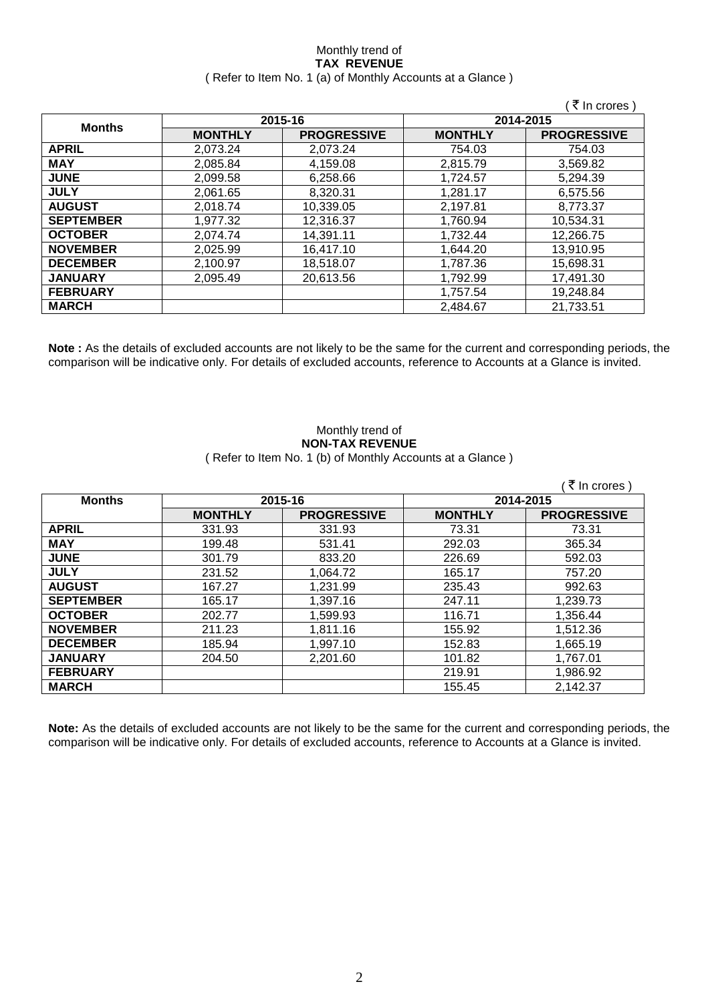### Monthly trend of **TAX REVENUE** ( Refer to Item No. 1 (a) of Monthly Accounts at a Glance )

|                  |                |                    |                | ′ ₹ In crores )    |
|------------------|----------------|--------------------|----------------|--------------------|
|                  |                | 2015-16            | 2014-2015      |                    |
| <b>Months</b>    | <b>MONTHLY</b> | <b>PROGRESSIVE</b> | <b>MONTHLY</b> | <b>PROGRESSIVE</b> |
| <b>APRIL</b>     | 2.073.24       | 2.073.24           | 754.03         | 754.03             |
| <b>MAY</b>       | 2,085.84       | 4,159.08           | 2,815.79       | 3,569.82           |
| <b>JUNE</b>      | 2,099.58       | 6,258.66           | 1,724.57       | 5,294.39           |
| <b>JULY</b>      | 2,061.65       | 8,320.31           | 1,281.17       | 6,575.56           |
| <b>AUGUST</b>    | 2,018.74       | 10,339.05          | 2,197.81       | 8,773.37           |
| <b>SEPTEMBER</b> | 1,977.32       | 12,316.37          | 1,760.94       | 10,534.31          |
| <b>OCTOBER</b>   | 2.074.74       | 14,391.11          | 1,732.44       | 12,266.75          |
| <b>NOVEMBER</b>  | 2,025.99       | 16.417.10          | 1.644.20       | 13,910.95          |
| <b>DECEMBER</b>  | 2,100.97       | 18,518.07          | 1,787.36       | 15,698.31          |
| <b>JANUARY</b>   | 2,095.49       | 20,613.56          | 1,792.99       | 17,491.30          |
| <b>FEBRUARY</b>  |                |                    | 1,757.54       | 19,248.84          |
| <b>MARCH</b>     |                |                    | 2,484.67       | 21,733.51          |

**Note :** As the details of excluded accounts are not likely to be the same for the current and corresponding periods, the comparison will be indicative only. For details of excluded accounts, reference to Accounts at a Glance is invited.

### Monthly trend of **NON-TAX REVENUE** ( Refer to Item No. 1 (b) of Monthly Accounts at a Glance )

|                  |                |                    |                | ₹ In crores )      |
|------------------|----------------|--------------------|----------------|--------------------|
| <b>Months</b>    | 2015-16        |                    |                | 2014-2015          |
|                  | <b>MONTHLY</b> | <b>PROGRESSIVE</b> | <b>MONTHLY</b> | <b>PROGRESSIVE</b> |
| <b>APRIL</b>     | 331.93         | 331.93             | 73.31          | 73.31              |
| <b>MAY</b>       | 199.48         | 531.41             | 292.03         | 365.34             |
| <b>JUNE</b>      | 301.79         | 833.20             | 226.69         | 592.03             |
| <b>JULY</b>      | 231.52         | 1,064.72           | 165.17         | 757.20             |
| <b>AUGUST</b>    | 167.27         | 1,231.99           | 235.43         | 992.63             |
| <b>SEPTEMBER</b> | 165.17         | 1,397.16           | 247.11         | 1,239.73           |
| <b>OCTOBER</b>   | 202.77         | 1,599.93           | 116.71         | 1,356.44           |
| <b>NOVEMBER</b>  | 211.23         | 1,811.16           | 155.92         | 1,512.36           |
| <b>DECEMBER</b>  | 185.94         | 1,997.10           | 152.83         | 1,665.19           |
| <b>JANUARY</b>   | 204.50         | 2,201.60           | 101.82         | 1,767.01           |
| <b>FEBRUARY</b>  |                |                    | 219.91         | 1,986.92           |
| <b>MARCH</b>     |                |                    | 155.45         | 2,142.37           |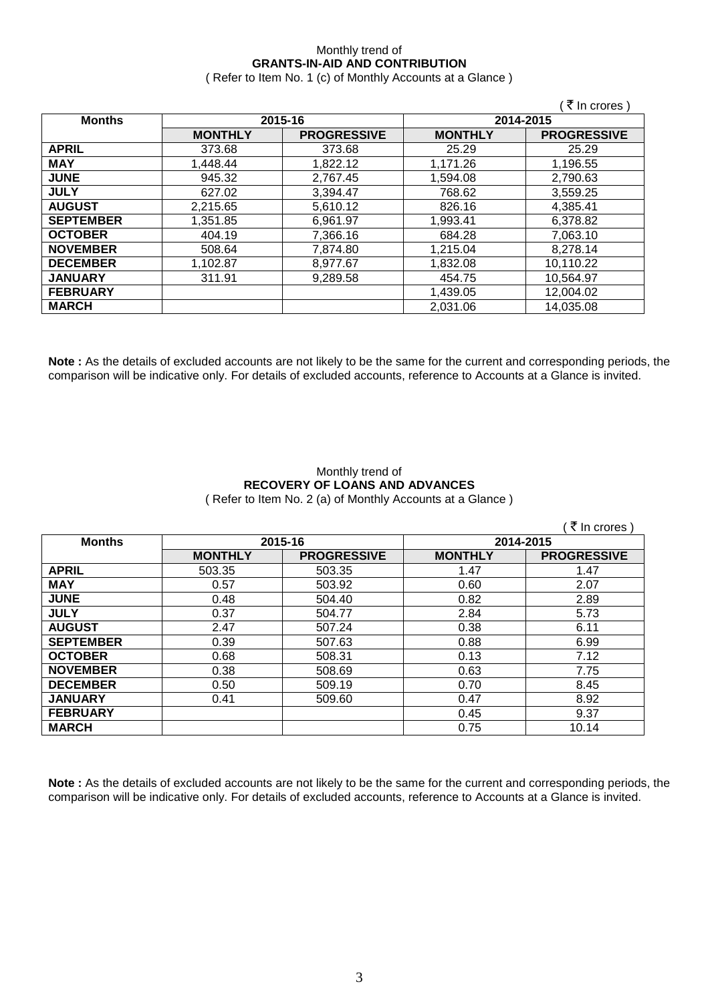## Monthly trend of **GRANTS-IN-AID AND CONTRIBUTION**

( Refer to Item No. 1 (c) of Monthly Accounts at a Glance )

|                  |                |                    |                | (₹ In crores)      |
|------------------|----------------|--------------------|----------------|--------------------|
| <b>Months</b>    |                | 2015-16            | 2014-2015      |                    |
|                  | <b>MONTHLY</b> | <b>PROGRESSIVE</b> | <b>MONTHLY</b> | <b>PROGRESSIVE</b> |
| <b>APRIL</b>     | 373.68         | 373.68             | 25.29          | 25.29              |
| <b>MAY</b>       | 1,448.44       | 1,822.12           | 1,171.26       | 1,196.55           |
| <b>JUNE</b>      | 945.32         | 2,767.45           | 1,594.08       | 2,790.63           |
| <b>JULY</b>      | 627.02         | 3,394.47           | 768.62         | 3,559.25           |
| <b>AUGUST</b>    | 2,215.65       | 5,610.12           | 826.16         | 4,385.41           |
| <b>SEPTEMBER</b> | 1,351.85       | 6,961.97           | 1,993.41       | 6,378.82           |
| <b>OCTOBER</b>   | 404.19         | 7,366.16           | 684.28         | 7,063.10           |
| <b>NOVEMBER</b>  | 508.64         | 7,874.80           | 1,215.04       | 8,278.14           |
| <b>DECEMBER</b>  | 1,102.87       | 8,977.67           | 1,832.08       | 10,110.22          |
| <b>JANUARY</b>   | 311.91         | 9,289.58           | 454.75         | 10.564.97          |
| <b>FEBRUARY</b>  |                |                    | 1,439.05       | 12,004.02          |
| <b>MARCH</b>     |                |                    | 2,031.06       | 14,035.08          |

**Note :** As the details of excluded accounts are not likely to be the same for the current and corresponding periods, the comparison will be indicative only. For details of excluded accounts, reference to Accounts at a Glance is invited.

### Monthly trend of **RECOVERY OF LOANS AND ADVANCES** ( Refer to Item No. 2 (a) of Monthly Accounts at a Glance )

|                  |                |                    |                | ्रे In crores `    |
|------------------|----------------|--------------------|----------------|--------------------|
| <b>Months</b>    | 2015-16        |                    | 2014-2015      |                    |
|                  | <b>MONTHLY</b> | <b>PROGRESSIVE</b> | <b>MONTHLY</b> | <b>PROGRESSIVE</b> |
| <b>APRIL</b>     | 503.35         | 503.35             | 1.47           | 1.47               |
| <b>MAY</b>       | 0.57           | 503.92             | 0.60           | 2.07               |
| <b>JUNE</b>      | 0.48           | 504.40             | 0.82           | 2.89               |
| <b>JULY</b>      | 0.37           | 504.77             | 2.84           | 5.73               |
| <b>AUGUST</b>    | 2.47           | 507.24             | 0.38           | 6.11               |
| <b>SEPTEMBER</b> | 0.39           | 507.63             | 0.88           | 6.99               |
| <b>OCTOBER</b>   | 0.68           | 508.31             | 0.13           | 7.12               |
| <b>NOVEMBER</b>  | 0.38           | 508.69             | 0.63           | 7.75               |
| <b>DECEMBER</b>  | 0.50           | 509.19             | 0.70           | 8.45               |
| <b>JANUARY</b>   | 0.41           | 509.60             | 0.47           | 8.92               |
| <b>FEBRUARY</b>  |                |                    | 0.45           | 9.37               |
| <b>MARCH</b>     |                |                    | 0.75           | 10.14              |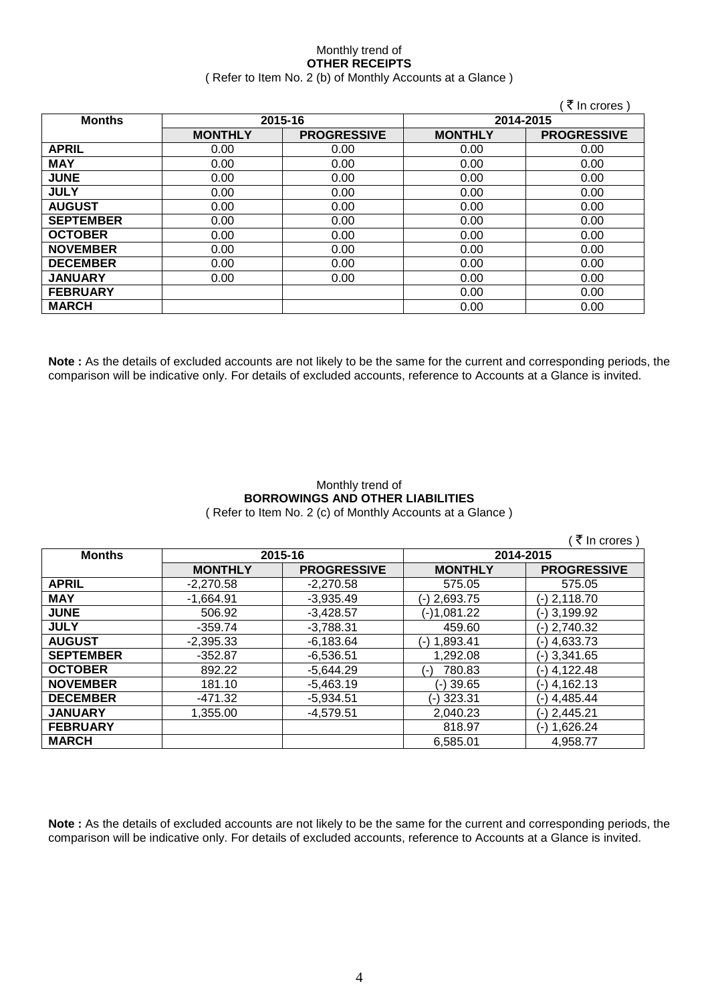### Monthly trend of **OTHER RECEIPTS** ( Refer to Item No. 2 (b) of Monthly Accounts at a Glance )

|                  |                |                    |                | ₹ In crores)       |
|------------------|----------------|--------------------|----------------|--------------------|
| <b>Months</b>    |                | 2015-16            | 2014-2015      |                    |
|                  | <b>MONTHLY</b> | <b>PROGRESSIVE</b> | <b>MONTHLY</b> | <b>PROGRESSIVE</b> |
| <b>APRIL</b>     | 0.00           | 0.00               | 0.00           | 0.00               |
| <b>MAY</b>       | 0.00           | 0.00               | 0.00           | 0.00               |
| <b>JUNE</b>      | 0.00           | 0.00               | 0.00           | 0.00               |
| <b>JULY</b>      | 0.00           | 0.00               | 0.00           | 0.00               |
| <b>AUGUST</b>    | 0.00           | 0.00               | 0.00           | 0.00               |
| <b>SEPTEMBER</b> | 0.00           | 0.00               | 0.00           | 0.00               |
| <b>OCTOBER</b>   | 0.00           | 0.00               | 0.00           | 0.00               |
| <b>NOVEMBER</b>  | 0.00           | 0.00               | 0.00           | 0.00               |
| <b>DECEMBER</b>  | 0.00           | 0.00               | 0.00           | 0.00               |
| <b>JANUARY</b>   | 0.00           | 0.00               | 0.00           | 0.00               |
| <b>FEBRUARY</b>  |                |                    | 0.00           | 0.00               |
| <b>MARCH</b>     |                |                    | 0.00           | 0.00               |

**Note :** As the details of excluded accounts are not likely to be the same for the current and corresponding periods, the comparison will be indicative only. For details of excluded accounts, reference to Accounts at a Glance is invited.

### Monthly trend of **BORROWINGS AND OTHER LIABILITIES** ( Refer to Item No. 2 (c) of Monthly Accounts at a Glance )

|                  |                |                    |                 | ミ₹ In crores)      |
|------------------|----------------|--------------------|-----------------|--------------------|
| <b>Months</b>    | 2015-16        |                    | 2014-2015       |                    |
|                  | <b>MONTHLY</b> | <b>PROGRESSIVE</b> | <b>MONTHLY</b>  | <b>PROGRESSIVE</b> |
| <b>APRIL</b>     | $-2,270.58$    | $-2.270.58$        | 575.05          | 575.05             |
| <b>MAY</b>       | $-1,664.91$    | $-3,935.49$        | (-) 2,693.75    | $(-)$ 2,118.70     |
| <b>JUNE</b>      | 506.92         | $-3,428.57$        | (-)1,081.22     | (-) 3,199.92       |
| <b>JULY</b>      | $-359.74$      | $-3,788.31$        | 459.60          | $(-) 2,740.32$     |
| <b>AUGUST</b>    | $-2,395.33$    | $-6,183.64$        | (-) 1,893.41    | (-) 4,633.73       |
| <b>SEPTEMBER</b> | $-352.87$      | $-6,536.51$        | 1,292.08        | (-) 3,341.65       |
| <b>OCTOBER</b>   | 892.22         | $-5,644.29$        | 780.83<br>( – ) | (-) 4,122.48       |
| <b>NOVEMBER</b>  | 181.10         | $-5,463.19$        | $(-)39.65$      | (-) 4,162.13       |
| <b>DECEMBER</b>  | -471.32        | $-5,934.51$        | (-) 323.31      | (-) 4,485.44       |
| <b>JANUARY</b>   | 1.355.00       | $-4.579.51$        | 2,040.23        | (-) 2,445.21       |
| <b>FEBRUARY</b>  |                |                    | 818.97          | (-) 1,626.24       |
| <b>MARCH</b>     |                |                    | 6.585.01        | 4,958.77           |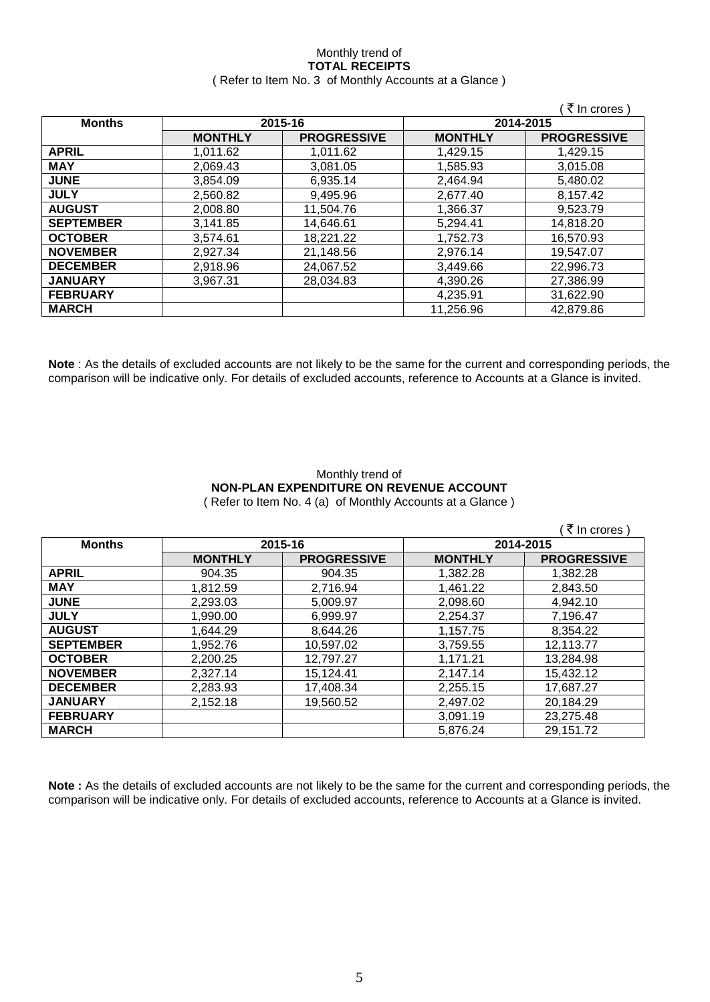### Monthly trend of **TOTAL RECEIPTS** ( Refer to Item No. 3 of Monthly Accounts at a Glance )

|                  |                |                    |                | ₹ In crores)       |
|------------------|----------------|--------------------|----------------|--------------------|
| <b>Months</b>    |                | 2015-16            | 2014-2015      |                    |
|                  | <b>MONTHLY</b> | <b>PROGRESSIVE</b> | <b>MONTHLY</b> | <b>PROGRESSIVE</b> |
| <b>APRIL</b>     | 1,011.62       | 1,011.62           | 1,429.15       | 1.429.15           |
| <b>MAY</b>       | 2,069.43       | 3,081.05           | 1,585.93       | 3,015.08           |
| <b>JUNE</b>      | 3.854.09       | 6,935.14           | 2,464.94       | 5,480.02           |
| <b>JULY</b>      | 2,560.82       | 9,495.96           | 2,677.40       | 8,157.42           |
| <b>AUGUST</b>    | 2,008.80       | 11,504.76          | 1,366.37       | 9,523.79           |
| <b>SEPTEMBER</b> | 3,141.85       | 14,646.61          | 5,294.41       | 14,818.20          |
| <b>OCTOBER</b>   | 3.574.61       | 18,221.22          | 1.752.73       | 16.570.93          |
| <b>NOVEMBER</b>  | 2,927.34       | 21,148.56          | 2,976.14       | 19.547.07          |
| <b>DECEMBER</b>  | 2,918.96       | 24,067.52          | 3,449.66       | 22,996.73          |
| <b>JANUARY</b>   | 3,967.31       | 28,034.83          | 4.390.26       | 27,386.99          |
| <b>FEBRUARY</b>  |                |                    | 4,235.91       | 31,622.90          |
| <b>MARCH</b>     |                |                    | 11,256.96      | 42,879.86          |

**Note** : As the details of excluded accounts are not likely to be the same for the current and corresponding periods, the comparison will be indicative only. For details of excluded accounts, reference to Accounts at a Glance is invited.

### Monthly trend of **NON-PLAN EXPENDITURE ON REVENUE ACCOUNT** ( Refer to Item No. 4 (a) of Monthly Accounts at a Glance )

|                  |                |                    |                | ₹ In crores)       |
|------------------|----------------|--------------------|----------------|--------------------|
| <b>Months</b>    |                | 2015-16            |                | 2014-2015          |
|                  | <b>MONTHLY</b> | <b>PROGRESSIVE</b> | <b>MONTHLY</b> | <b>PROGRESSIVE</b> |
| <b>APRIL</b>     | 904.35         | 904.35             | 1,382.28       | 1,382.28           |
| <b>MAY</b>       | 1,812.59       | 2,716.94           | 1,461.22       | 2,843.50           |
| <b>JUNE</b>      | 2.293.03       | 5.009.97           | 2,098.60       | 4,942.10           |
| <b>JULY</b>      | 1.990.00       | 6,999.97           | 2,254.37       | 7,196.47           |
| <b>AUGUST</b>    | 1.644.29       | 8.644.26           | 1,157.75       | 8.354.22           |
| <b>SEPTEMBER</b> | 1.952.76       | 10,597.02          | 3,759.55       | 12,113.77          |
| <b>OCTOBER</b>   | 2,200.25       | 12,797.27          | 1,171.21       | 13,284.98          |
| <b>NOVEMBER</b>  | 2,327.14       | 15,124.41          | 2,147.14       | 15,432.12          |
| <b>DECEMBER</b>  | 2,283.93       | 17,408.34          | 2,255.15       | 17,687.27          |
| <b>JANUARY</b>   | 2.152.18       | 19.560.52          | 2.497.02       | 20,184.29          |
| <b>FEBRUARY</b>  |                |                    | 3,091.19       | 23,275.48          |
| <b>MARCH</b>     |                |                    | 5,876.24       | 29,151.72          |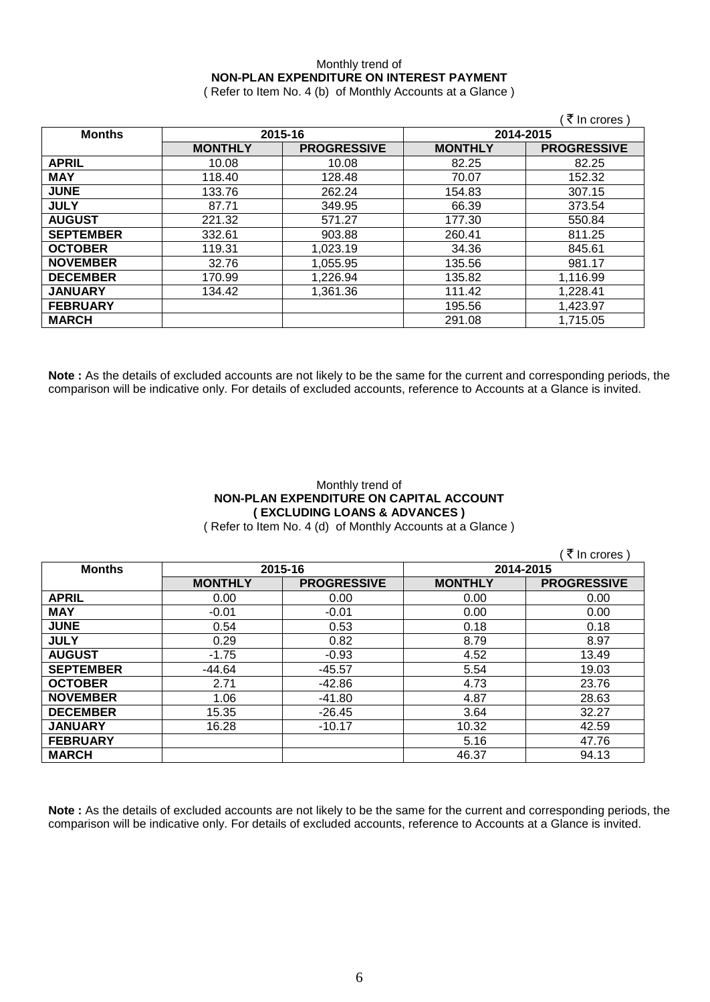# Monthly trend of **NON-PLAN EXPENDITURE ON INTEREST PAYMENT**

( Refer to Item No. 4 (b) of Monthly Accounts at a Glance )

|                  |                |                    |                | ₹ In crores )      |
|------------------|----------------|--------------------|----------------|--------------------|
| <b>Months</b>    | 2015-16        |                    | 2014-2015      |                    |
|                  | <b>MONTHLY</b> | <b>PROGRESSIVE</b> | <b>MONTHLY</b> | <b>PROGRESSIVE</b> |
| <b>APRIL</b>     | 10.08          | 10.08              | 82.25          | 82.25              |
| <b>MAY</b>       | 118.40         | 128.48             | 70.07          | 152.32             |
| <b>JUNE</b>      | 133.76         | 262.24             | 154.83         | 307.15             |
| <b>JULY</b>      | 87.71          | 349.95             | 66.39          | 373.54             |
| <b>AUGUST</b>    | 221.32         | 571.27             | 177.30         | 550.84             |
| <b>SEPTEMBER</b> | 332.61         | 903.88             | 260.41         | 811.25             |
| <b>OCTOBER</b>   | 119.31         | 1.023.19           | 34.36          | 845.61             |
| <b>NOVEMBER</b>  | 32.76          | 1,055.95           | 135.56         | 981.17             |
| <b>DECEMBER</b>  | 170.99         | 1,226.94           | 135.82         | 1,116.99           |
| <b>JANUARY</b>   | 134.42         | 1,361.36           | 111.42         | 1,228.41           |
| <b>FEBRUARY</b>  |                |                    | 195.56         | 1,423.97           |
| <b>MARCH</b>     |                |                    | 291.08         | 1,715.05           |

**Note :** As the details of excluded accounts are not likely to be the same for the current and corresponding periods, the comparison will be indicative only. For details of excluded accounts, reference to Accounts at a Glance is invited.

## Monthly trend of **NON-PLAN EXPENDITURE ON CAPITAL ACCOUNT ( EXCLUDING LOANS & ADVANCES )**

( Refer to Item No. 4 (d) of Monthly Accounts at a Glance )

 $($   $\bar{z}$  In crores )

| <b>Months</b>    | 2015-16        |                    | 2014-2015      |                    |
|------------------|----------------|--------------------|----------------|--------------------|
|                  | <b>MONTHLY</b> | <b>PROGRESSIVE</b> | <b>MONTHLY</b> | <b>PROGRESSIVE</b> |
| <b>APRIL</b>     | 0.00           | 0.00               | 0.00           | 0.00               |
| <b>MAY</b>       | $-0.01$        | $-0.01$            | 0.00           | 0.00               |
| <b>JUNE</b>      | 0.54           | 0.53               | 0.18           | 0.18               |
| <b>JULY</b>      | 0.29           | 0.82               | 8.79           | 8.97               |
| <b>AUGUST</b>    | $-1.75$        | $-0.93$            | 4.52           | 13.49              |
| <b>SEPTEMBER</b> | $-44.64$       | $-45.57$           | 5.54           | 19.03              |
| <b>OCTOBER</b>   | 2.71           | $-42.86$           | 4.73           | 23.76              |
| <b>NOVEMBER</b>  | 1.06           | $-41.80$           | 4.87           | 28.63              |
| <b>DECEMBER</b>  | 15.35          | $-26.45$           | 3.64           | 32.27              |
| <b>JANUARY</b>   | 16.28          | $-10.17$           | 10.32          | 42.59              |
| <b>FEBRUARY</b>  |                |                    | 5.16           | 47.76              |
| <b>MARCH</b>     |                |                    | 46.37          | 94.13              |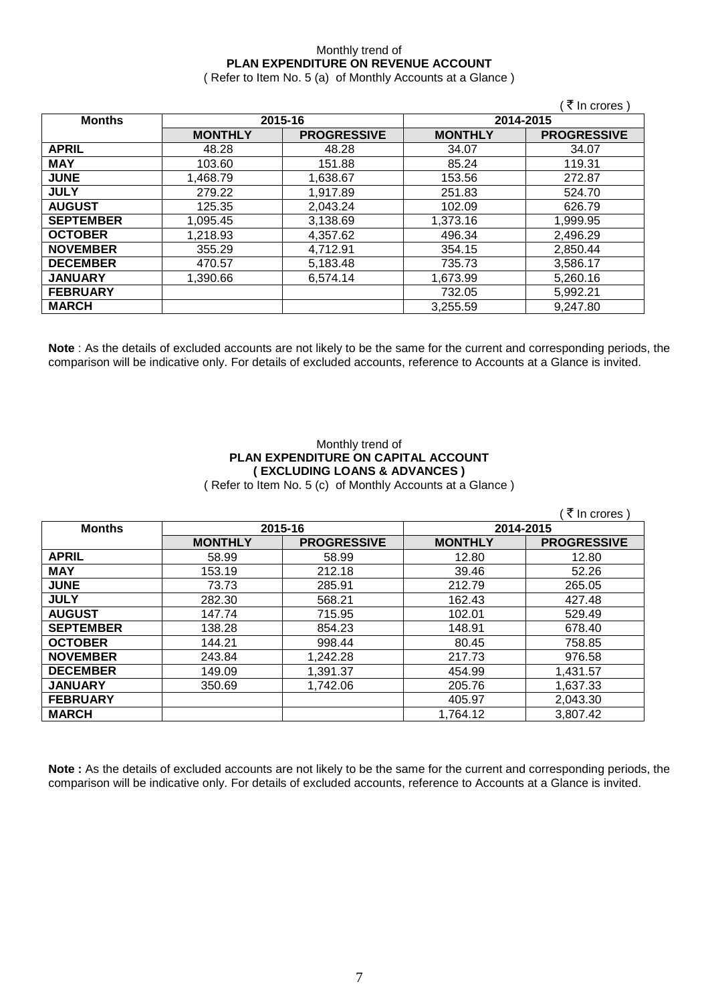## Monthly trend of **PLAN EXPENDITURE ON REVENUE ACCOUNT**

( Refer to Item No. 5 (a) of Monthly Accounts at a Glance )

|                  |                |                    |                | (₹ In crores)      |
|------------------|----------------|--------------------|----------------|--------------------|
| <b>Months</b>    | 2015-16        |                    | 2014-2015      |                    |
|                  | <b>MONTHLY</b> | <b>PROGRESSIVE</b> | <b>MONTHLY</b> | <b>PROGRESSIVE</b> |
| <b>APRIL</b>     | 48.28          | 48.28              | 34.07          | 34.07              |
| <b>MAY</b>       | 103.60         | 151.88             | 85.24          | 119.31             |
| <b>JUNE</b>      | 1.468.79       | 1,638.67           | 153.56         | 272.87             |
| <b>JULY</b>      | 279.22         | 1,917.89           | 251.83         | 524.70             |
| <b>AUGUST</b>    | 125.35         | 2,043.24           | 102.09         | 626.79             |
| <b>SEPTEMBER</b> | 1,095.45       | 3,138.69           | 1,373.16       | 1,999.95           |
| <b>OCTOBER</b>   | 1.218.93       | 4,357.62           | 496.34         | 2,496.29           |
| <b>NOVEMBER</b>  | 355.29         | 4,712.91           | 354.15         | 2,850.44           |
| <b>DECEMBER</b>  | 470.57         | 5,183.48           | 735.73         | 3,586.17           |
| <b>JANUARY</b>   | 1.390.66       | 6,574.14           | 1,673.99       | 5,260.16           |
| <b>FEBRUARY</b>  |                |                    | 732.05         | 5,992.21           |
| <b>MARCH</b>     |                |                    | 3,255.59       | 9,247.80           |

**Note** : As the details of excluded accounts are not likely to be the same for the current and corresponding periods, the comparison will be indicative only. For details of excluded accounts, reference to Accounts at a Glance is invited.

# Monthly trend of **PLAN EXPENDITURE ON CAPITAL ACCOUNT ( EXCLUDING LOANS & ADVANCES )**

( Refer to Item No. 5 (c) of Monthly Accounts at a Glance )

| <b>Months</b>    | 2015-16        |                    | 2014-2015      |                    |
|------------------|----------------|--------------------|----------------|--------------------|
|                  | <b>MONTHLY</b> | <b>PROGRESSIVE</b> | <b>MONTHLY</b> | <b>PROGRESSIVE</b> |
| <b>APRIL</b>     | 58.99          | 58.99              | 12.80          | 12.80              |
| <b>MAY</b>       | 153.19         | 212.18             | 39.46          | 52.26              |
| <b>JUNE</b>      | 73.73          | 285.91             | 212.79         | 265.05             |
| <b>JULY</b>      | 282.30         | 568.21             | 162.43         | 427.48             |
| <b>AUGUST</b>    | 147.74         | 715.95             | 102.01         | 529.49             |
| <b>SEPTEMBER</b> | 138.28         | 854.23             | 148.91         | 678.40             |
| <b>OCTOBER</b>   | 144.21         | 998.44             | 80.45          | 758.85             |
| <b>NOVEMBER</b>  | 243.84         | 1,242.28           | 217.73         | 976.58             |
| <b>DECEMBER</b>  | 149.09         | 1,391.37           | 454.99         | 1,431.57           |
| <b>JANUARY</b>   | 350.69         | 1,742.06           | 205.76         | 1,637.33           |
| <b>FEBRUARY</b>  |                |                    | 405.97         | 2,043.30           |
| <b>MARCH</b>     |                |                    | 1,764.12       | 3,807.42           |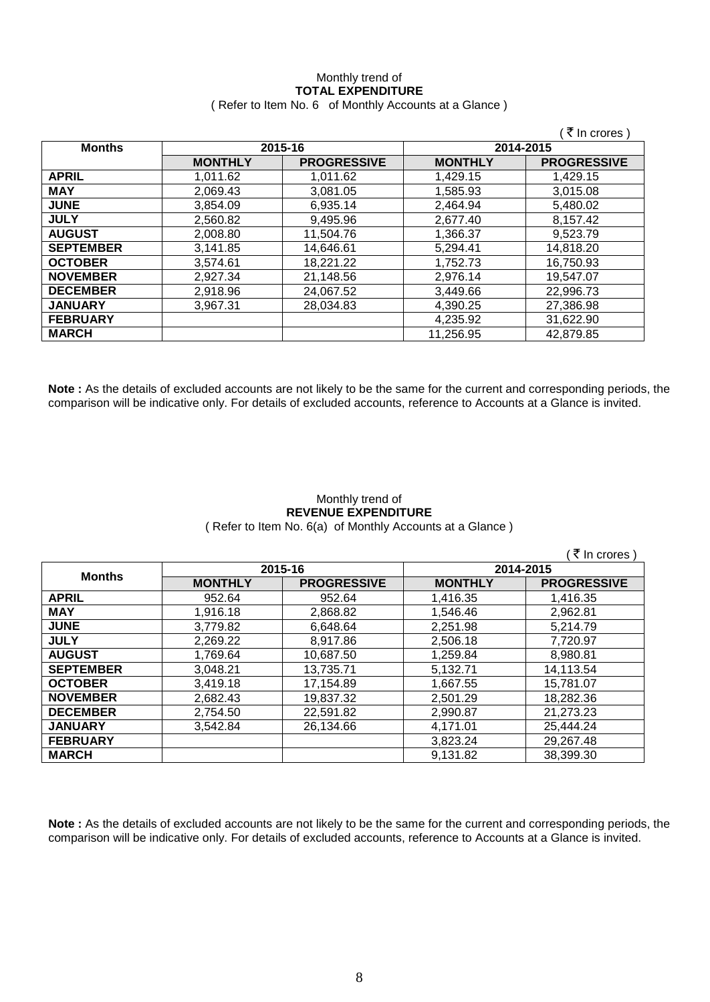### Monthly trend of **TOTAL EXPENDITURE** ( Refer to Item No. 6 of Monthly Accounts at a Glance )

|                  |                |                    |                | ∶₹ In crores )     |
|------------------|----------------|--------------------|----------------|--------------------|
| <b>Months</b>    | 2015-16        |                    | 2014-2015      |                    |
|                  | <b>MONTHLY</b> | <b>PROGRESSIVE</b> | <b>MONTHLY</b> | <b>PROGRESSIVE</b> |
| <b>APRIL</b>     | 1,011.62       | 1,011.62           | 1,429.15       | 1,429.15           |
| <b>MAY</b>       | 2,069.43       | 3.081.05           | 1,585.93       | 3,015.08           |
| <b>JUNE</b>      | 3.854.09       | 6.935.14           | 2.464.94       | 5,480.02           |
| <b>JULY</b>      | 2.560.82       | 9.495.96           | 2.677.40       | 8.157.42           |
| <b>AUGUST</b>    | 2.008.80       | 11,504.76          | 1,366.37       | 9,523.79           |
| <b>SEPTEMBER</b> | 3,141.85       | 14,646.61          | 5,294.41       | 14,818.20          |
| <b>OCTOBER</b>   | 3,574.61       | 18,221.22          | 1,752.73       | 16,750.93          |
| <b>NOVEMBER</b>  | 2.927.34       | 21,148.56          | 2,976.14       | 19.547.07          |
| <b>DECEMBER</b>  | 2,918.96       | 24,067.52          | 3.449.66       | 22,996.73          |
| <b>JANUARY</b>   | 3.967.31       | 28,034.83          | 4,390.25       | 27,386.98          |
| <b>FEBRUARY</b>  |                |                    | 4,235.92       | 31,622.90          |
| <b>MARCH</b>     |                |                    | 11,256.95      | 42,879.85          |

**Note :** As the details of excluded accounts are not likely to be the same for the current and corresponding periods, the comparison will be indicative only. For details of excluded accounts, reference to Accounts at a Glance is invited.

### Monthly trend of **REVENUE EXPENDITURE** ( Refer to Item No. 6(a) of Monthly Accounts at a Glance )

 $($   $\overline{\mathfrak{F}}$  In crores )

| <b>Months</b>    | 2015-16        |                    | 2014-2015      |                    |
|------------------|----------------|--------------------|----------------|--------------------|
|                  | <b>MONTHLY</b> | <b>PROGRESSIVE</b> | <b>MONTHLY</b> | <b>PROGRESSIVE</b> |
| <b>APRIL</b>     | 952.64         | 952.64             | 1,416.35       | 1,416.35           |
| <b>MAY</b>       | 1,916.18       | 2,868.82           | 1.546.46       | 2,962.81           |
| <b>JUNE</b>      | 3,779.82       | 6,648.64           | 2,251.98       | 5,214.79           |
| <b>JULY</b>      | 2,269.22       | 8,917.86           | 2,506.18       | 7,720.97           |
| <b>AUGUST</b>    | 1,769.64       | 10,687.50          | 1,259.84       | 8,980.81           |
| <b>SEPTEMBER</b> | 3,048.21       | 13,735.71          | 5,132.71       | 14,113.54          |
| <b>OCTOBER</b>   | 3,419.18       | 17,154.89          | 1,667.55       | 15,781.07          |
| <b>NOVEMBER</b>  | 2,682.43       | 19,837.32          | 2,501.29       | 18,282.36          |
| <b>DECEMBER</b>  | 2,754.50       | 22,591.82          | 2,990.87       | 21,273.23          |
| <b>JANUARY</b>   | 3,542.84       | 26,134.66          | 4,171.01       | 25,444.24          |
| <b>FEBRUARY</b>  |                |                    | 3,823.24       | 29,267.48          |
| <b>MARCH</b>     |                |                    | 9,131.82       | 38,399.30          |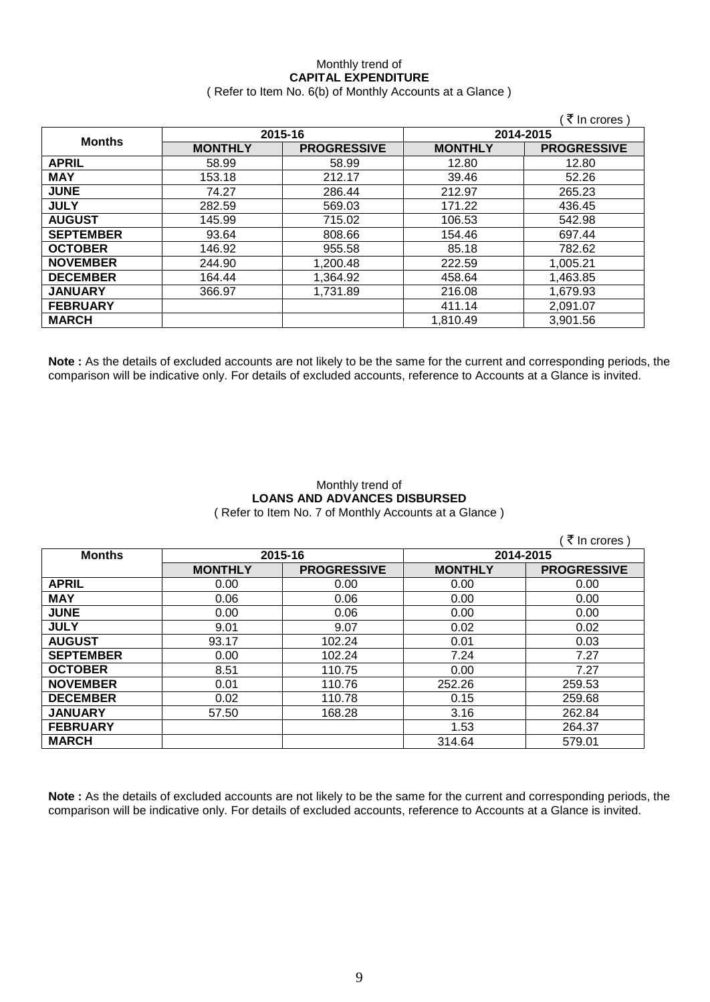### Monthly trend of **CAPITAL EXPENDITURE**  ( Refer to Item No. 6(b) of Monthly Accounts at a Glance )

|                  |                |                    |                | ∶₹ In crores )     |
|------------------|----------------|--------------------|----------------|--------------------|
| <b>Months</b>    | 2015-16        |                    | 2014-2015      |                    |
|                  | <b>MONTHLY</b> | <b>PROGRESSIVE</b> | <b>MONTHLY</b> | <b>PROGRESSIVE</b> |
| <b>APRIL</b>     | 58.99          | 58.99              | 12.80          | 12.80              |
| <b>MAY</b>       | 153.18         | 212.17             | 39.46          | 52.26              |
| <b>JUNE</b>      | 74.27          | 286.44             | 212.97         | 265.23             |
| <b>JULY</b>      | 282.59         | 569.03             | 171.22         | 436.45             |
| <b>AUGUST</b>    | 145.99         | 715.02             | 106.53         | 542.98             |
| <b>SEPTEMBER</b> | 93.64          | 808.66             | 154.46         | 697.44             |
| <b>OCTOBER</b>   | 146.92         | 955.58             | 85.18          | 782.62             |
| <b>NOVEMBER</b>  | 244.90         | 1,200.48           | 222.59         | 1,005.21           |
| <b>DECEMBER</b>  | 164.44         | 1,364.92           | 458.64         | 1,463.85           |
| <b>JANUARY</b>   | 366.97         | 1,731.89           | 216.08         | 1,679.93           |
| <b>FEBRUARY</b>  |                |                    | 411.14         | 2,091.07           |
| <b>MARCH</b>     |                |                    | 1,810.49       | 3,901.56           |

**Note :** As the details of excluded accounts are not likely to be the same for the current and corresponding periods, the comparison will be indicative only. For details of excluded accounts, reference to Accounts at a Glance is invited.

### Monthly trend of **LOANS AND ADVANCES DISBURSED** ( Refer to Item No. 7 of Monthly Accounts at a Glance )

|                  |                |                    |                | ₹ In crores)       |
|------------------|----------------|--------------------|----------------|--------------------|
| <b>Months</b>    | 2015-16        |                    | 2014-2015      |                    |
|                  | <b>MONTHLY</b> | <b>PROGRESSIVE</b> | <b>MONTHLY</b> | <b>PROGRESSIVE</b> |
| <b>APRIL</b>     | 0.00           | 0.00               | 0.00           | 0.00               |
| <b>MAY</b>       | 0.06           | 0.06               | 0.00           | 0.00               |
| <b>JUNE</b>      | 0.00           | 0.06               | 0.00           | 0.00               |
| <b>JULY</b>      | 9.01           | 9.07               | 0.02           | 0.02               |
| <b>AUGUST</b>    | 93.17          | 102.24             | 0.01           | 0.03               |
| <b>SEPTEMBER</b> | 0.00           | 102.24             | 7.24           | 7.27               |
| <b>OCTOBER</b>   | 8.51           | 110.75             | 0.00           | 7.27               |
| <b>NOVEMBER</b>  | 0.01           | 110.76             | 252.26         | 259.53             |
| <b>DECEMBER</b>  | 0.02           | 110.78             | 0.15           | 259.68             |
| <b>JANUARY</b>   | 57.50          | 168.28             | 3.16           | 262.84             |
| <b>FEBRUARY</b>  |                |                    | 1.53           | 264.37             |
| <b>MARCH</b>     |                |                    | 314.64         | 579.01             |